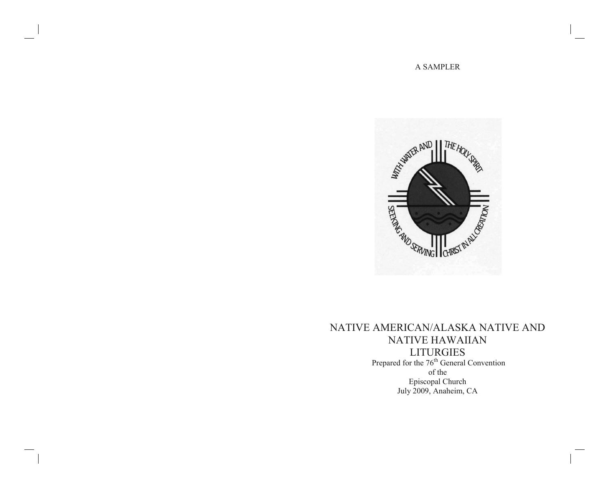### A SAMPLER



# NATIVE AMERICAN/ALASKA NATIVE AND NATIVE HAWAIIAN LITURGIES Prepared for the 76<sup>th</sup> General Convention of the Episcopal Church July 2009, Anaheim, CA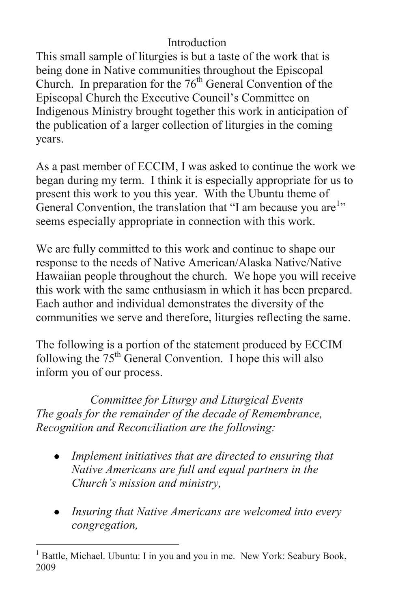## Introduction

This small sample of liturgies is but a taste of the work that is being done in Native communities throughout the Episcopal Church. In preparation for the  $76<sup>th</sup>$  General Convention of the Episcopal Church the Executive Council's Committee on Indigenous Ministry brought together this work in anticipation of the publication of a larger collection of liturgies in the coming years.

As a past member of ECCIM, I was asked to continue the work we began during my term. I think it is especially appropriate for us to present this work to you this year. With the Ubuntu theme of General Convention, the translation that "I am because you are<sup>1</sup>" seems especially appropriate in connection with this work.

We are fully committed to this work and continue to shape our response to the needs of Native American/Alaska Native/Native Hawaiian people throughout the church. We hope you will receive this work with the same enthusiasm in which it has been prepared. Each author and individual demonstrates the diversity of the communities we serve and therefore, liturgies reflecting the same.

The following is a portion of the statement produced by ECCIM following the  $75<sup>th</sup>$  General Convention. I hope this will also inform you of our process.

*Committee for Liturgy and Liturgical Events The goals for the remainder of the decade of Remembrance, Recognition and Reconciliation are the following:* 

- *Implement initiatives that are directed to ensuring that Native Americans are full and equal partners in the Church's mission and ministry,*
- *Insuring that Native Americans are welcomed into every congregation,*

 $\overline{a}$ <sup>1</sup> Battle, Michael. Ubuntu: I in you and you in me. New York: Seabury Book, 2009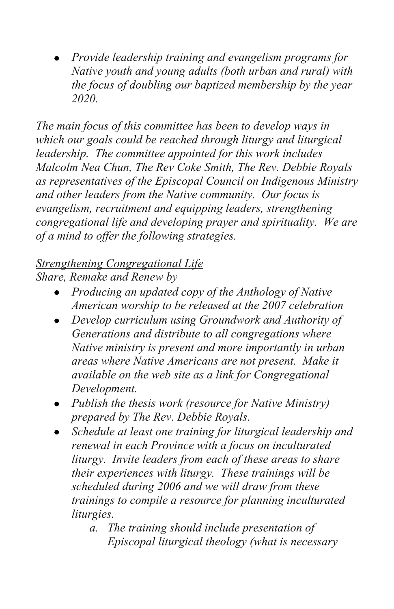*Provide leadership training and evangelism programs for Native youth and young adults (both urban and rural) with the focus of doubling our baptized membership by the year 2020.* 

*The main focus of this committee has been to develop ways in which our goals could be reached through liturgy and liturgical leadership. The committee appointed for this work includes Malcolm Nea Chun, The Rev Coke Smith, The Rev. Debbie Royals as representatives of the Episcopal Council on Indigenous Ministry and other leaders from the Native community. Our focus is evangelism, recruitment and equipping leaders, strengthening congregational life and developing prayer and spirituality. We are of a mind to offer the following strategies.* 

## *Strengthening Congregational Life*

*Share, Remake and Renew by* 

- *Producing an updated copy of the Anthology of Native American worship to be released at the 2007 celebration*
- *Develop curriculum using Groundwork and Authority of Generations and distribute to all congregations where Native ministry is present and more importantly in urban areas where Native Americans are not present. Make it available on the web site as a link for Congregational Development.*
- *Publish the thesis work (resource for Native Ministry) prepared by The Rev. Debbie Royals.*
- *Schedule at least one training for liturgical leadership and renewal in each Province with a focus on inculturated liturgy. Invite leaders from each of these areas to share their experiences with liturgy. These trainings will be scheduled during 2006 and we will draw from these trainings to compile a resource for planning inculturated liturgies.* 
	- *a. The training should include presentation of Episcopal liturgical theology (what is necessary*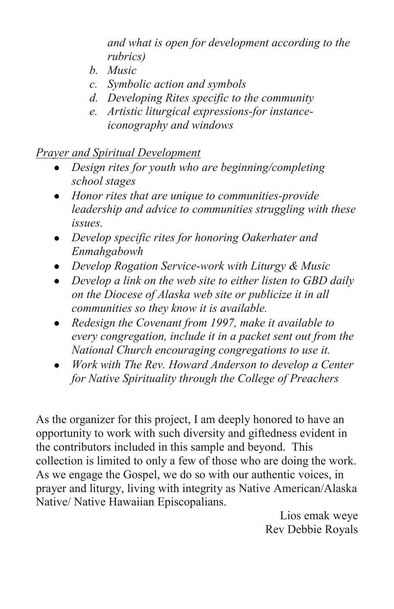*and what is open for development according to the rubrics)* 

- *b. Music*
- *c. Symbolic action and symbols*
- *d. Developing Rites specific to the community*
- *e. Artistic liturgical expressions-for instanceiconography and windows*

### *Prayer and Spiritual Development*

- *Design rites for youth who are beginning/completing school stages*
- *Honor rites that are unique to communities-provide leadership and advice to communities struggling with these issues.*
- *Develop specific rites for honoring Oakerhater and Enmahgabowh*
- *Develop Rogation Service-work with Liturgy & Music*
- *Develop a link on the web site to either listen to GBD daily on the Diocese of Alaska web site or publicize it in all communities so they know it is available.*
- *Redesign the Covenant from 1997, make it available to every congregation, include it in a packet sent out from the National Church encouraging congregations to use it.*
- *Work with The Rev. Howard Anderson to develop a Center for Native Spirituality through the College of Preachers*

As the organizer for this project, I am deeply honored to have an opportunity to work with such diversity and giftedness evident in the contributors included in this sample and beyond. This collection is limited to only a few of those who are doing the work. As we engage the Gospel, we do so with our authentic voices, in prayer and liturgy, living with integrity as Native American/Alaska Native/ Native Hawaiian Episcopalians.

> Lios emak weye Rev Debbie Royals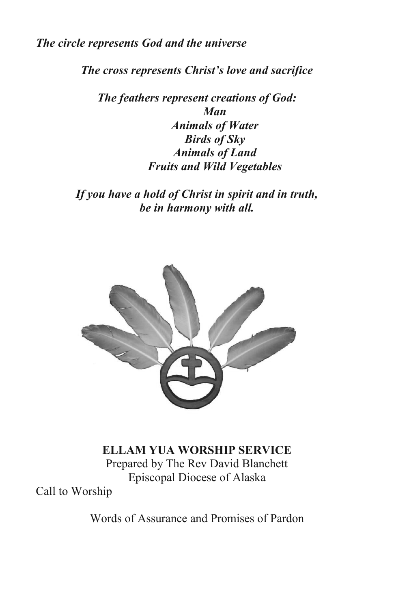*The circle represents God and the universe*

*The cross represents Christ's love and sacrifice*

*The feathers represent creations of God: Man Animals of Water Birds of Sky Animals of Land Fruits and Wild Vegetables*

*If you have a hold of Christ in spirit and in truth, be in harmony with all.*



**ELLAM YUA WORSHIP SERVICE**  Prepared by The Rev David Blanchett Episcopal Diocese of Alaska

Call to Worship

Words of Assurance and Promises of Pardon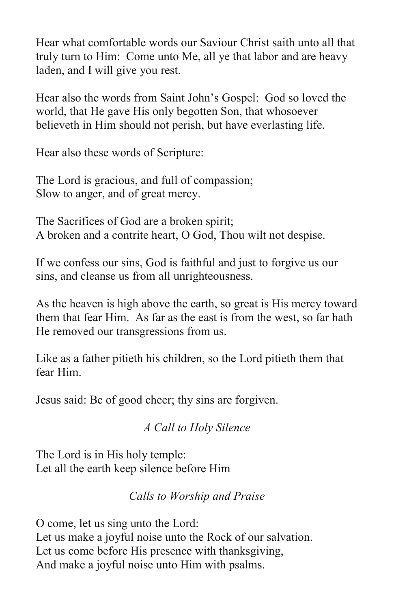Hear what comfortable words our Saviour Christ saith unto all that truly turn to Him: Come unto Me, all ye that labor and are heavy laden, and I will give you rest.

Hear also the words from Saint John's Gospel: God so loved the world, that He gave His only begotten Son, that whosoever believeth in Him should not perish, but have everlasting life.

Hear also these words of Scripture:

The Lord is gracious, and full of compassion; Slow to anger, and of great mercy.

The Sacrifices of God are a broken spirit; A broken and a contrite heart, O God, Thou wilt not despise.

If we confess our sins, God is faithful and just to forgive us our sins, and cleanse us from all unrighteousness.

As the heaven is high above the earth, so great is His mercy toward them that fear Him. As far as the east is from the west, so far hath He removed our transgressions from us.

Like as a father pitieth his children, so the Lord pitieth them that fear Him.

Jesus said: Be of good cheer; thy sins are forgiven.

*A Call to Holy Silence* 

The Lord is in His holy temple: Let all the earth keep silence before Him

*Calls to Worship and Praise* 

O come, let us sing unto the Lord: Let us make a joyful noise unto the Rock of our salvation. Let us come before His presence with thanksgiving, And make a joyful noise unto Him with psalms.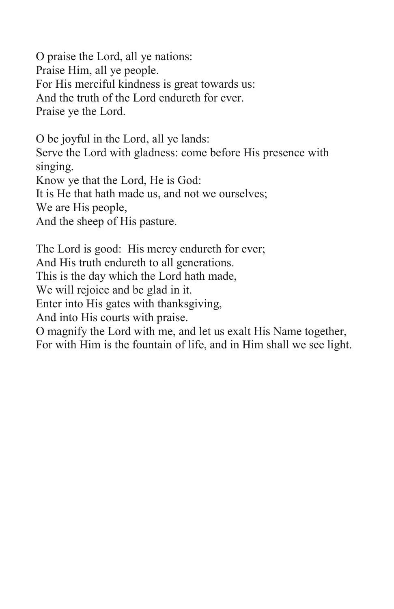O praise the Lord, all ye nations: Praise Him, all ye people. For His merciful kindness is great towards us: And the truth of the Lord endureth for ever. Praise ye the Lord.

O be joyful in the Lord, all ye lands: Serve the Lord with gladness: come before His presence with singing. Know ye that the Lord, He is God: It is He that hath made us, and not we ourselves; We are His people, And the sheep of His pasture.

The Lord is good: His mercy endureth for ever; And His truth endureth to all generations. This is the day which the Lord hath made, We will rejoice and be glad in it. Enter into His gates with thanksgiving, And into His courts with praise. O magnify the Lord with me, and let us exalt His Name together, For with Him is the fountain of life, and in Him shall we see light.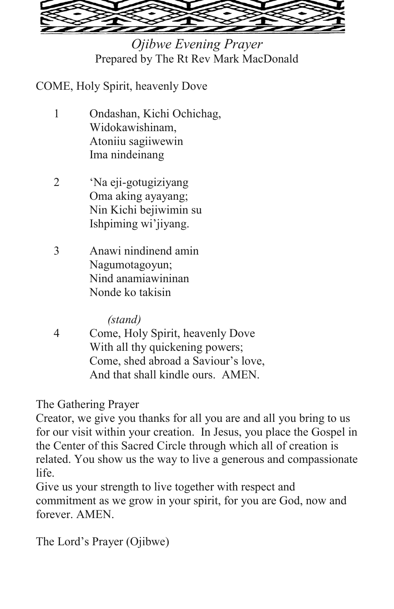

*Ojibwe Evening Prayer*  Prepared by The Rt Rev Mark MacDonald

COME, Holy Spirit, heavenly Dove

- 1 Ondashan, Kichi Ochichag, Widokawishinam, Atoniiu sagiiwewin Ima nindeinang
- 2 'Na eji-gotugiziyang Oma aking ayayang; Nin Kichi bejiwimin su Ishpiming wi'jiyang.
- 3 Anawi nindinend amin Nagumotagoyun; Nind anamiawininan Nonde ko takisin

*(stand)* 

4 Come, Holy Spirit, heavenly Dove With all thy quickening powers; Come, shed abroad a Saviour's love, And that shall kindle ours. AMEN.

The Gathering Prayer

Creator, we give you thanks for all you are and all you bring to us for our visit within your creation. In Jesus, you place the Gospel in the Center of this Sacred Circle through which all of creation is related. You show us the way to live a generous and compassionate life.

Give us your strength to live together with respect and commitment as we grow in your spirit, for you are God, now and forever. AMEN.

The Lord's Prayer (Ojibwe)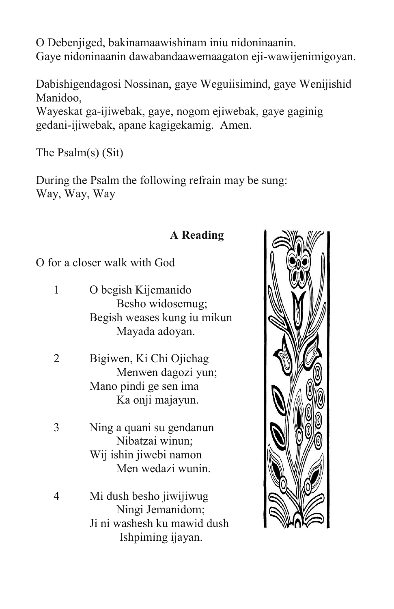O Debenjiged, bakinamaawishinam iniu nidoninaanin. Gaye nidoninaanin dawabandaawemaagaton eji-wawijenimigoyan.

Dabishigendagosi Nossinan, gaye Weguiisimind, gaye Wenijishid Manidoo, Wayeskat ga-ijiwebak, gaye, nogom ejiwebak, gaye gaginig gedani-ijiwebak, apane kagigekamig. Amen.

The Psalm(s) (Sit)

During the Psalm the following refrain may be sung: Way, Way, Way

### **A Reading**

O for a closer walk with God

| O begish Kijemanido         |
|-----------------------------|
| Besho widosemug;            |
| Begish weases kung iu mikun |
| Mayada adoyan.              |
|                             |

- 2 Bigiwen, Ki Chi Ojichag Menwen dagozi yun; Mano pindi ge sen ima Ka onji majayun.
- 3 Ning a quani su gendanun Nibatzai winun; Wij ishin jiwebi namon Men wedazi wunin.
- 4 Mi dush besho jiwijiwug Ningi Jemanidom; Ji ni washesh ku mawid dush Ishpiming ijayan.

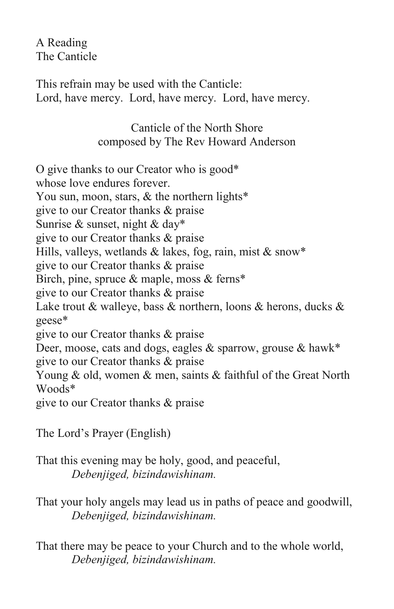A Reading The Canticle

This refrain may be used with the Canticle: Lord, have mercy. Lord, have mercy. Lord, have mercy.

> Canticle of the North Shore composed by The Rev Howard Anderson

O give thanks to our Creator who is good\* whose love endures forever. You sun, moon, stars, & the northern lights\* give to our Creator thanks & praise Sunrise & sunset, night & day\* give to our Creator thanks & praise Hills, valleys, wetlands  $&$  lakes, fog, rain, mist  $&$  snow\* give to our Creator thanks & praise Birch, pine, spruce & maple, moss & ferns\* give to our Creator thanks & praise Lake trout  $\&$  walleye, bass  $\&$  northern, loons  $\&$  herons, ducks  $\&$ geese\* give to our Creator thanks & praise Deer, moose, cats and dogs, eagles & sparrow, grouse & hawk\* give to our Creator thanks & praise Young & old, women & men, saints & faithful of the Great North Woods\* give to our Creator thanks & praise

The Lord's Prayer (English)

That this evening may be holy, good, and peaceful, *Debenjiged, bizindawishinam.* 

That your holy angels may lead us in paths of peace and goodwill, *Debenjiged, bizindawishinam.* 

That there may be peace to your Church and to the whole world, *Debenjiged, bizindawishinam.*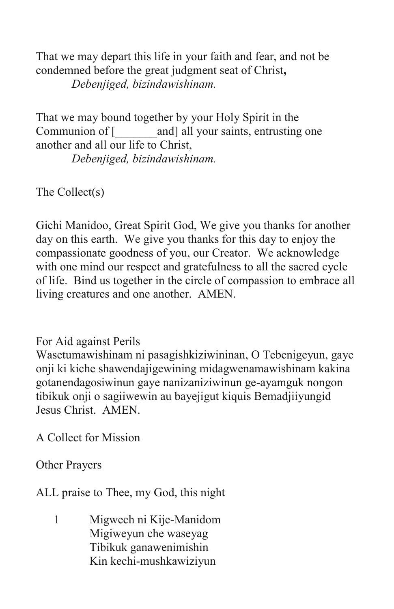That we may depart this life in your faith and fear, and not be condemned before the great judgment seat of Christ**,**  *Debenjiged, bizindawishinam.* 

That we may bound together by your Holy Spirit in the Communion of [\_\_\_\_\_\_\_and] all your saints, entrusting one another and all our life to Christ,

*Debenjiged, bizindawishinam.* 

The Collect(s)

Gichi Manidoo, Great Spirit God, We give you thanks for another day on this earth. We give you thanks for this day to enjoy the compassionate goodness of you, our Creator. We acknowledge with one mind our respect and gratefulness to all the sacred cycle of life. Bind us together in the circle of compassion to embrace all living creatures and one another. AMEN.

For Aid against Perils

Wasetumawishinam ni pasagishkiziwininan, O Tebenigeyun, gaye onji ki kiche shawendajigewining midagwenamawishinam kakina gotanendagosiwinun gaye nanizaniziwinun ge-ayamguk nongon tibikuk onji o sagiiwewin au bayejigut kiquis Bemadjiiyungid Jesus Christ. AMEN.

A Collect for Mission

Other Prayers

ALL praise to Thee, my God, this night

1 Migwech ni Kije-Manidom Migiweyun che waseyag Tibikuk ganawenimishin Kin kechi-mushkawiziyun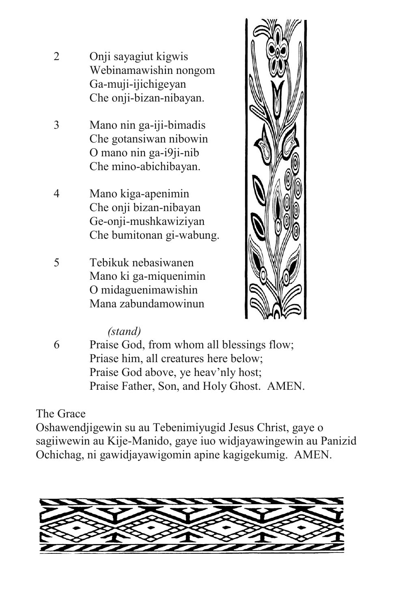- 2 Onji sayagiut kigwis Webinamawishin nongom Ga-muji-ijichigeyan Che onji-bizan-nibayan.
- 3 Mano nin ga-iji-bimadis Che gotansiwan nibowin O mano nin ga-i9ji-nib Che mino-abichibayan.
- 4 Mano kiga-apenimin Che onji bizan-nibayan Ge-onji-mushkawiziyan Che bumitonan gi-wabung.
- 5 Tebikuk nebasiwanen Mano ki ga-miquenimin O midaguenimawishin Mana zabundamowinun



## *(stand)*

6 Praise God, from whom all blessings flow; Priase him, all creatures here below; Praise God above, ye heav'nly host; Praise Father, Son, and Holy Ghost. AMEN.

## The Grace

Oshawendjigewin su au Tebenimiyugid Jesus Christ, gaye o sagiiwewin au Kije-Manido, gaye iuo widjayawingewin au Panizid Ochichag, ni gawidjayawigomin apine kagigekumig. AMEN.

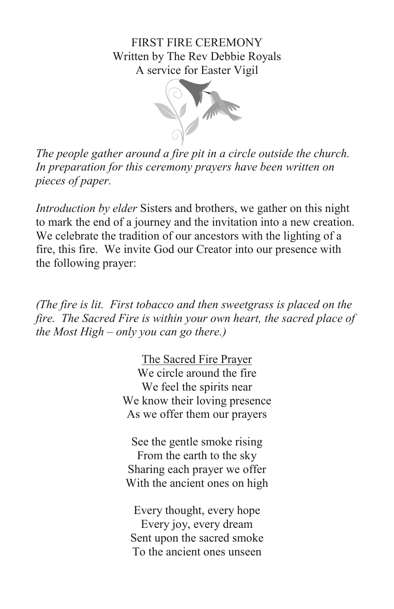### FIRST FIRE CEREMONY Written by The Rev Debbie Royals A service for Easter Vigil



*The people gather around a fire pit in a circle outside the church. In preparation for this ceremony prayers have been written on pieces of paper.* 

*Introduction by elder* Sisters and brothers, we gather on this night to mark the end of a journey and the invitation into a new creation. We celebrate the tradition of our ancestors with the lighting of a fire, this fire. We invite God our Creator into our presence with the following prayer:

*(The fire is lit. First tobacco and then sweetgrass is placed on the fire. The Sacred Fire is within your own heart, the sacred place of the Most High – only you can go there.)* 

> The Sacred Fire Prayer We circle around the fire We feel the spirits near We know their loving presence As we offer them our prayers

See the gentle smoke rising From the earth to the sky Sharing each prayer we offer With the ancient ones on high

Every thought, every hope Every joy, every dream Sent upon the sacred smoke To the ancient ones unseen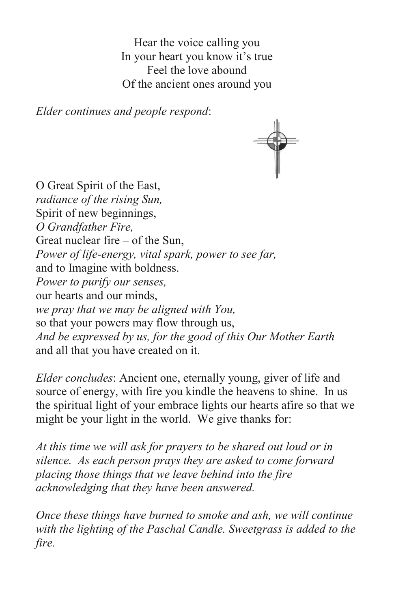Hear the voice calling you In your heart you know it's true Feel the love abound Of the ancient ones around you

*Elder continues and people respond*:



O Great Spirit of the East, *radiance of the rising Sun,*  Spirit of new beginnings, *O Grandfather Fire,*  Great nuclear fire – of the Sun, *Power of life-energy, vital spark, power to see far,*  and to Imagine with boldness. *Power to purify our senses,*  our hearts and our minds, *we pray that we may be aligned with You,*  so that your powers may flow through us, *And be expressed by us, for the good of this Our Mother Earth*  and all that you have created on it.

*Elder concludes*: Ancient one, eternally young, giver of life and source of energy, with fire you kindle the heavens to shine. In us the spiritual light of your embrace lights our hearts afire so that we might be your light in the world. We give thanks for:

*At this time we will ask for prayers to be shared out loud or in silence. As each person prays they are asked to come forward placing those things that we leave behind into the fire acknowledging that they have been answered.* 

*Once these things have burned to smoke and ash, we will continue with the lighting of the Paschal Candle. Sweetgrass is added to the fire.*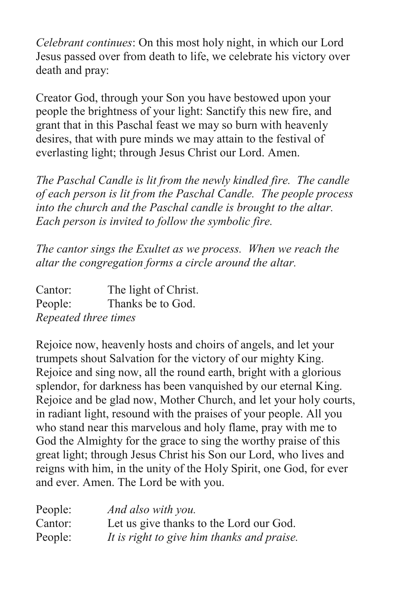*Celebrant continues*: On this most holy night, in which our Lord Jesus passed over from death to life, we celebrate his victory over death and pray:

Creator God, through your Son you have bestowed upon your people the brightness of your light: Sanctify this new fire, and grant that in this Paschal feast we may so burn with heavenly desires, that with pure minds we may attain to the festival of everlasting light; through Jesus Christ our Lord. Amen.

*The Paschal Candle is lit from the newly kindled fire. The candle of each person is lit from the Paschal Candle. The people process into the church and the Paschal candle is brought to the altar. Each person is invited to follow the symbolic fire.* 

*The cantor sings the Exultet as we process. When we reach the altar the congregation forms a circle around the altar.* 

| Cantor:              | The light of Christ. |
|----------------------|----------------------|
| People:              | Thanks be to God.    |
| Repeated three times |                      |

Rejoice now, heavenly hosts and choirs of angels, and let your trumpets shout Salvation for the victory of our mighty King. Rejoice and sing now, all the round earth, bright with a glorious splendor, for darkness has been vanquished by our eternal King. Rejoice and be glad now, Mother Church, and let your holy courts, in radiant light, resound with the praises of your people. All you who stand near this marvelous and holy flame, pray with me to God the Almighty for the grace to sing the worthy praise of this great light; through Jesus Christ his Son our Lord, who lives and reigns with him, in the unity of the Holy Spirit, one God, for ever and ever. Amen. The Lord be with you.

| People: | And also with you.                         |
|---------|--------------------------------------------|
| Cantor: | Let us give thanks to the Lord our God.    |
| People: | It is right to give him thanks and praise. |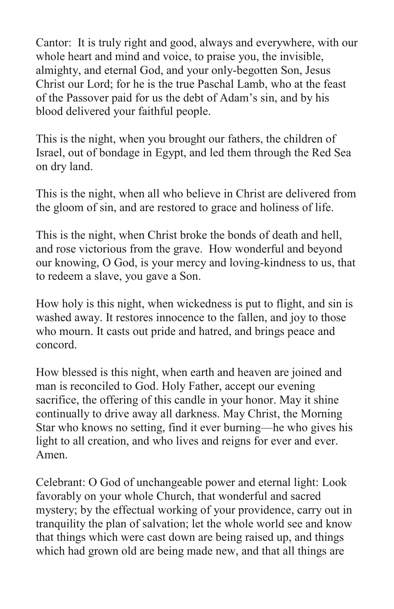Cantor: It is truly right and good, always and everywhere, with our whole heart and mind and voice, to praise you, the invisible, almighty, and eternal God, and your only-begotten Son, Jesus Christ our Lord; for he is the true Paschal Lamb, who at the feast of the Passover paid for us the debt of Adam's sin, and by his blood delivered your faithful people.

This is the night, when you brought our fathers, the children of Israel, out of bondage in Egypt, and led them through the Red Sea on dry land.

This is the night, when all who believe in Christ are delivered from the gloom of sin, and are restored to grace and holiness of life.

This is the night, when Christ broke the bonds of death and hell, and rose victorious from the grave. How wonderful and beyond our knowing, O God, is your mercy and loving-kindness to us, that to redeem a slave, you gave a Son.

How holy is this night, when wickedness is put to flight, and sin is washed away. It restores innocence to the fallen, and joy to those who mourn. It casts out pride and hatred, and brings peace and concord.

How blessed is this night, when earth and heaven are joined and man is reconciled to God. Holy Father, accept our evening sacrifice, the offering of this candle in your honor. May it shine continually to drive away all darkness. May Christ, the Morning Star who knows no setting, find it ever burning––he who gives his light to all creation, and who lives and reigns for ever and ever. Amen.

Celebrant: O God of unchangeable power and eternal light: Look favorably on your whole Church, that wonderful and sacred mystery; by the effectual working of your providence, carry out in tranquility the plan of salvation; let the whole world see and know that things which were cast down are being raised up, and things which had grown old are being made new, and that all things are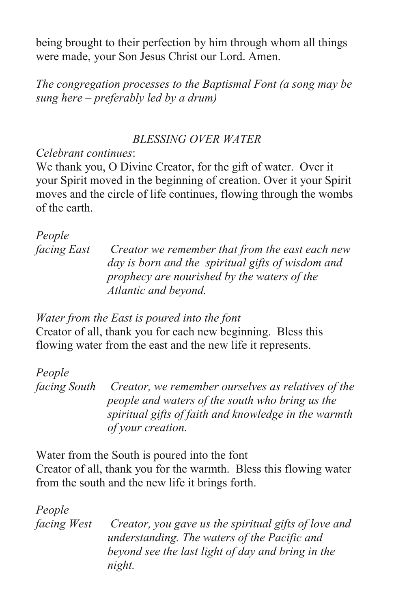being brought to their perfection by him through whom all things were made, your Son Jesus Christ our Lord. Amen.

*The congregation processes to the Baptismal Font (a song may be sung here – preferably led by a drum)* 

### *BLESSING OVER WATER*

### *Celebrant continues*:

We thank you, O Divine Creator, for the gift of water. Over it your Spirit moved in the beginning of creation. Over it your Spirit moves and the circle of life continues, flowing through the wombs of the earth.

## *People*

*facing East Creator we remember that from the east each new day is born and the spiritual gifts of wisdom and prophecy are nourished by the waters of the Atlantic and beyond.* 

### *Water from the East is poured into the font*

Creator of all, thank you for each new beginning. Bless this flowing water from the east and the new life it represents.

# *People*

*facing South Creator, we remember ourselves as relatives of the people and waters of the south who bring us the spiritual gifts of faith and knowledge in the warmth of your creation.* 

Water from the South is poured into the font Creator of all, thank you for the warmth. Bless this flowing water from the south and the new life it brings forth.

*People* 

*facing West Creator, you gave us the spiritual gifts of love and understanding. The waters of the Pacific and beyond see the last light of day and bring in the night.*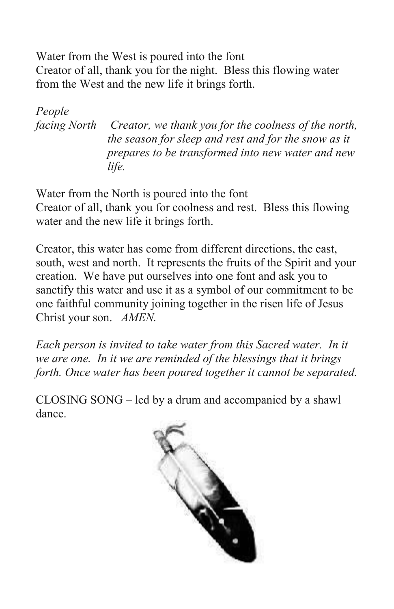Water from the West is poured into the font Creator of all, thank you for the night. Bless this flowing water from the West and the new life it brings forth.

*People facing North Creator, we thank you for the coolness of the north, the season for sleep and rest and for the snow as it prepares to be transformed into new water and new life.* 

Water from the North is poured into the font Creator of all, thank you for coolness and rest. Bless this flowing water and the new life it brings forth.

Creator, this water has come from different directions, the east, south, west and north. It represents the fruits of the Spirit and your creation. We have put ourselves into one font and ask you to sanctify this water and use it as a symbol of our commitment to be one faithful community joining together in the risen life of Jesus Christ your son. *AMEN.* 

*Each person is invited to take water from this Sacred water. In it we are one. In it we are reminded of the blessings that it brings forth. Once water has been poured together it cannot be separated.* 

CLOSING SONG – led by a drum and accompanied by a shawl dance.

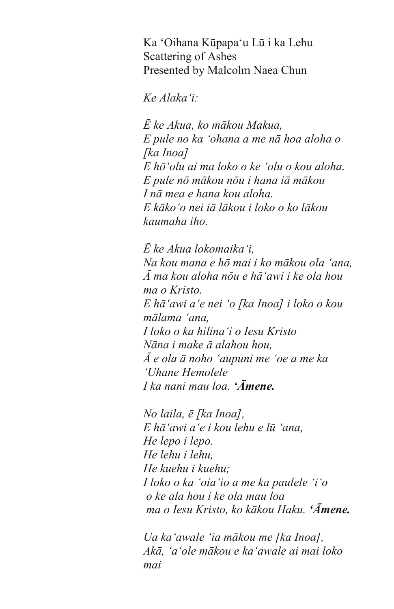Ka 'Oihana Kūpapa'u Lū i ka Lehu Scattering of Ashes Presented by Malcolm Naea Chun

*Ke Alaka'i:*

*Ē ke Akua, ko mākou Makua, E pule no ka 'ohana a me nā hoa aloha o [ka Inoa] E hō'olu ai ma loko o ke 'olu o kou aloha. E pule nō mākou nōu i hana iā mākou I nā mea e hana kou aloha. E kāko'o nei iā lākou i loko o ko lākou kaumaha iho.* 

*Ē ke Akua lokomaika'i, Na kou mana e hō mai i ko mākou ola 'ana, Ā ma kou aloha nōu e hā'awi i ke ola hou ma o Kristo. E hā'awi a'e nei 'o [ka Inoa] i loko o kou mālama 'ana, I loko o ka hilina'i o Iesu Kristo Nāna i make ā alahou hou, Ā e ola ā noho 'aupuni me 'oe a me ka 'Uhane Hemolele I ka nani mau loa. 'Āmene.*

*No laila, ē [ka Inoa], E hā'awi a'e i kou lehu e lū 'ana, He lepo i lepo. He lehu i lehu, He kuehu i kuehu; I loko o ka 'oia'io a me ka paulele 'i'o o ke ala hou i ke ola mau loa ma o Iesu Kristo, ko kākou Haku. 'Āmene.*

*Ua ka'awale 'ia mākou me [ka Inoa], Akā, 'a'ole mākou e ka'awale ai mai loko mai*